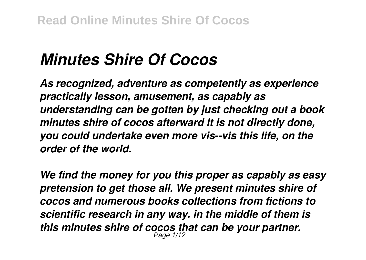# *Minutes Shire Of Cocos*

*As recognized, adventure as competently as experience practically lesson, amusement, as capably as understanding can be gotten by just checking out a book minutes shire of cocos afterward it is not directly done, you could undertake even more vis--vis this life, on the order of the world.*

*We find the money for you this proper as capably as easy pretension to get those all. We present minutes shire of cocos and numerous books collections from fictions to scientific research in any way. in the middle of them is this minutes shire of cocos that can be your partner.* Page 1/12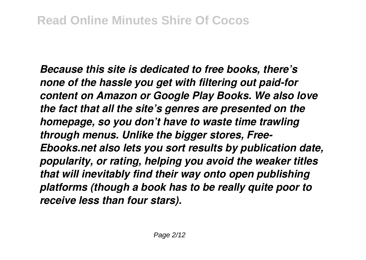*Because this site is dedicated to free books, there's none of the hassle you get with filtering out paid-for content on Amazon or Google Play Books. We also love the fact that all the site's genres are presented on the homepage, so you don't have to waste time trawling through menus. Unlike the bigger stores, Free-Ebooks.net also lets you sort results by publication date, popularity, or rating, helping you avoid the weaker titles that will inevitably find their way onto open publishing platforms (though a book has to be really quite poor to receive less than four stars).*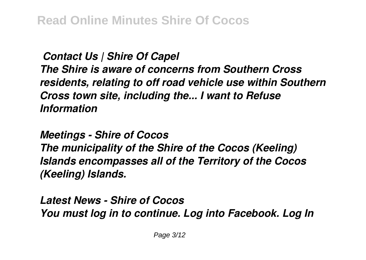*Contact Us | Shire Of Capel The Shire is aware of concerns from Southern Cross residents, relating to off road vehicle use within Southern Cross town site, including the... I want to Refuse Information*

*Meetings - Shire of Cocos The municipality of the Shire of the Cocos (Keeling) Islands encompasses all of the Territory of the Cocos (Keeling) Islands.*

*Latest News - Shire of Cocos You must log in to continue. Log into Facebook. Log In*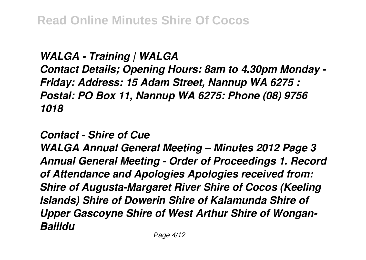## **Read Online Minutes Shire Of Cocos**

*WALGA - Training | WALGA Contact Details; Opening Hours: 8am to 4.30pm Monday - Friday: Address: 15 Adam Street, Nannup WA 6275 : Postal: PO Box 11, Nannup WA 6275: Phone (08) 9756 1018*

*Contact - Shire of Cue*

*WALGA Annual General Meeting – Minutes 2012 Page 3 Annual General Meeting - Order of Proceedings 1. Record of Attendance and Apologies Apologies received from: Shire of Augusta-Margaret River Shire of Cocos (Keeling Islands) Shire of Dowerin Shire of Kalamunda Shire of Upper Gascoyne Shire of West Arthur Shire of Wongan-Ballidu*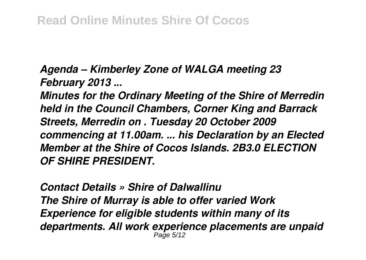*Agenda – Kimberley Zone of WALGA meeting 23 February 2013 ...*

*Minutes for the Ordinary Meeting of the Shire of Merredin held in the Council Chambers, Corner King and Barrack Streets, Merredin on . Tuesday 20 October 2009 commencing at 11.00am. ... his Declaration by an Elected Member at the Shire of Cocos Islands. 2B3.0 ELECTION OF SHIRE PRESIDENT.*

*Contact Details » Shire of Dalwallinu The Shire of Murray is able to offer varied Work Experience for eligible students within many of its departments. All work experience placements are unpaid* Page 5/12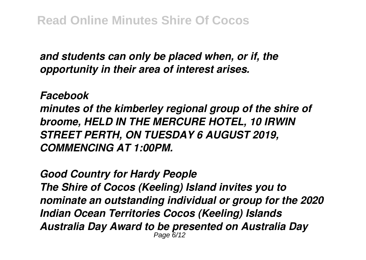*and students can only be placed when, or if, the opportunity in their area of interest arises.*

*Facebook*

*minutes of the kimberley regional group of the shire of broome, HELD IN THE MERCURE HOTEL, 10 IRWIN STREET PERTH, ON TUESDAY 6 AUGUST 2019, COMMENCING AT 1:00PM.*

*Good Country for Hardy People The Shire of Cocos (Keeling) Island invites you to nominate an outstanding individual or group for the 2020 Indian Ocean Territories Cocos (Keeling) Islands Australia Day Award to be presented on Australia Day* Page 6/12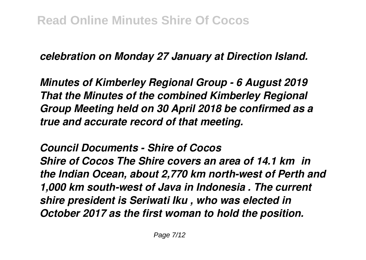*celebration on Monday 27 January at Direction Island.*

*Minutes of Kimberley Regional Group - 6 August 2019 That the Minutes of the combined Kimberley Regional Group Meeting held on 30 April 2018 be confirmed as a true and accurate record of that meeting.*

*Council Documents - Shire of Cocos Shire of Cocos The Shire covers an area of 14.1 km² in the Indian Ocean, about 2,770 km north-west of Perth and 1,000 km south-west of Java in Indonesia . The current shire president is Seriwati Iku , who was elected in October 2017 as the first woman to hold the position.*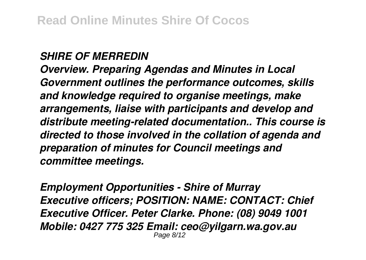#### *SHIRE OF MERREDIN*

*Overview. Preparing Agendas and Minutes in Local Government outlines the performance outcomes, skills and knowledge required to organise meetings, make arrangements, liaise with participants and develop and distribute meeting-related documentation.. This course is directed to those involved in the collation of agenda and preparation of minutes for Council meetings and committee meetings.*

*Employment Opportunities - Shire of Murray Executive officers; POSITION: NAME: CONTACT: Chief Executive Officer. Peter Clarke. Phone: (08) 9049 1001 Mobile: 0427 775 325 Email: ceo@yilgarn.wa.gov.au* Page 8/12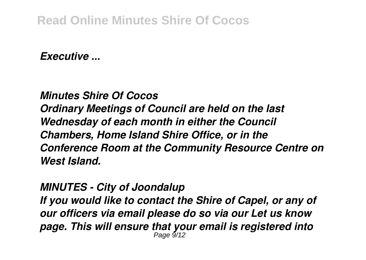### **Read Online Minutes Shire Of Cocos**

*Executive ...*

*Minutes Shire Of Cocos Ordinary Meetings of Council are held on the last Wednesday of each month in either the Council Chambers, Home Island Shire Office, or in the Conference Room at the Community Resource Centre on West Island.*

#### *MINUTES - City of Joondalup*

*If you would like to contact the Shire of Capel, or any of our officers via email please do so via our Let us know page. This will ensure that your email is registered into* Page 9/12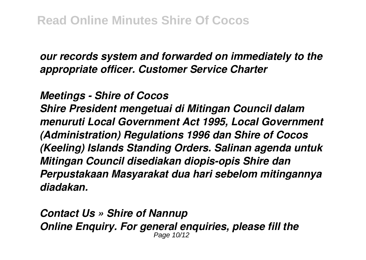*our records system and forwarded on immediately to the appropriate officer. Customer Service Charter*

*Meetings - Shire of Cocos*

*Shire President mengetuai di Mitingan Council dalam menuruti Local Government Act 1995, Local Government (Administration) Regulations 1996 dan Shire of Cocos (Keeling) Islands Standing Orders. Salinan agenda untuk Mitingan Council disediakan diopis-opis Shire dan Perpustakaan Masyarakat dua hari sebelom mitingannya diadakan.*

*Contact Us » Shire of Nannup Online Enquiry. For general enquiries, please fill the* Page 10/12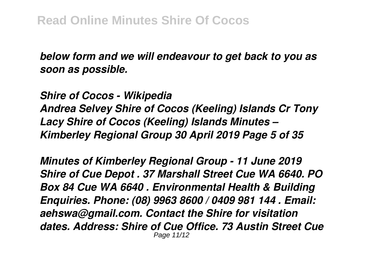*below form and we will endeavour to get back to you as soon as possible.*

*Shire of Cocos - Wikipedia Andrea Selvey Shire of Cocos (Keeling) Islands Cr Tony Lacy Shire of Cocos (Keeling) Islands Minutes – Kimberley Regional Group 30 April 2019 Page 5 of 35*

*Minutes of Kimberley Regional Group - 11 June 2019 Shire of Cue Depot . 37 Marshall Street Cue WA 6640. PO Box 84 Cue WA 6640 . Environmental Health & Building Enquiries. Phone: (08) 9963 8600 / 0409 981 144 . Email: aehswa@gmail.com. Contact the Shire for visitation dates. Address: Shire of Cue Office. 73 Austin Street Cue* Page 11/12